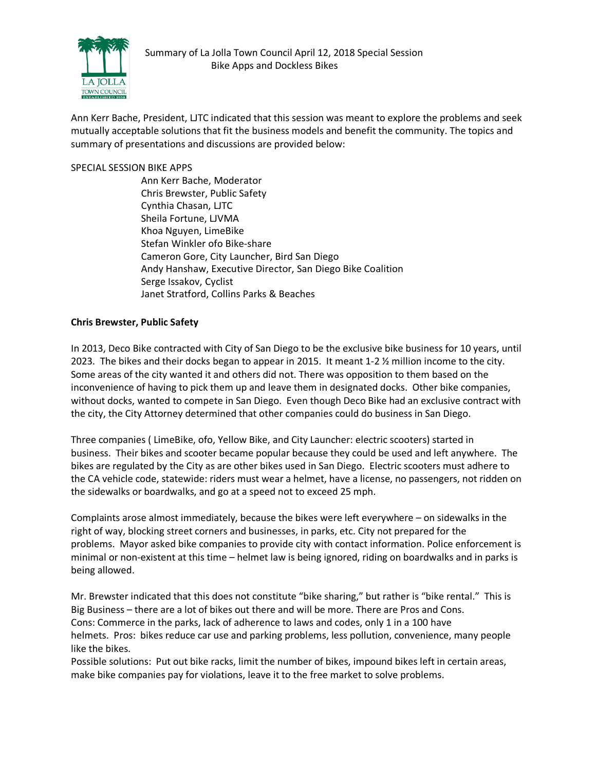

Ann Kerr Bache, President, LJTC indicated that this session was meant to explore the problems and seek mutually acceptable solutions that fit the business models and benefit the community. The topics and summary of presentations and discussions are provided below:

## SPECIAL SESSION BIKE APPS

Ann Kerr Bache, Moderator Chris Brewster, Public Safety Cynthia Chasan, LJTC Sheila Fortune, LJVMA Khoa Nguyen, LimeBike Stefan Winkler ofo Bike-share Cameron Gore, City Launcher, Bird San Diego Andy Hanshaw, Executive Director, San Diego Bike Coalition Serge Issakov, Cyclist Janet Stratford, Collins Parks & Beaches

## **Chris Brewster, Public Safety**

In 2013, Deco Bike contracted with City of San Diego to be the exclusive bike business for 10 years, until 2023. The bikes and their docks began to appear in 2015. It meant 1-2 ½ million income to the city. Some areas of the city wanted it and others did not. There was opposition to them based on the inconvenience of having to pick them up and leave them in designated docks. Other bike companies, without docks, wanted to compete in San Diego. Even though Deco Bike had an exclusive contract with the city, the City Attorney determined that other companies could do business in San Diego.

Three companies ( LimeBike, ofo, Yellow Bike, and City Launcher: electric scooters) started in business. Their bikes and scooter became popular because they could be used and left anywhere. The bikes are regulated by the City as are other bikes used in San Diego. Electric scooters must adhere to the CA vehicle code, statewide: riders must wear a helmet, have a license, no passengers, not ridden on the sidewalks or boardwalks, and go at a speed not to exceed 25 mph.

Complaints arose almost immediately, because the bikes were left everywhere – on sidewalks in the right of way, blocking street corners and businesses, in parks, etc. City not prepared for the problems. Mayor asked bike companies to provide city with contact information. Police enforcement is minimal or non-existent at this time – helmet law is being ignored, riding on boardwalks and in parks is being allowed.

Mr. Brewster indicated that this does not constitute "bike sharing," but rather is "bike rental." This is Big Business – there are a lot of bikes out there and will be more. There are Pros and Cons. Cons: Commerce in the parks, lack of adherence to laws and codes, only 1 in a 100 have helmets. Pros: bikes reduce car use and parking problems, less pollution, convenience, many people like the bikes.

Possible solutions: Put out bike racks, limit the number of bikes, impound bikes left in certain areas, make bike companies pay for violations, leave it to the free market to solve problems.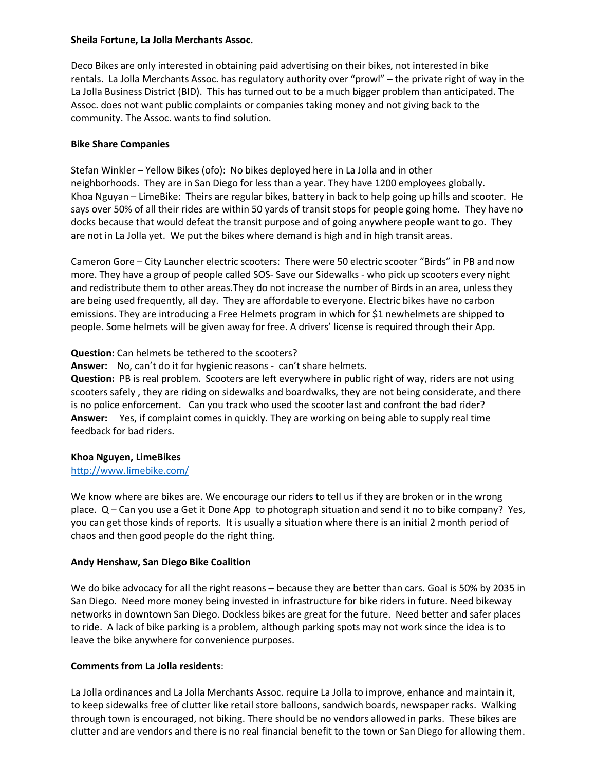#### **Sheila Fortune, La Jolla Merchants Assoc.**

Deco Bikes are only interested in obtaining paid advertising on their bikes, not interested in bike rentals. La Jolla Merchants Assoc. has regulatory authority over "prowl" – the private right of way in the La Jolla Business District (BID). This has turned out to be a much bigger problem than anticipated. The Assoc. does not want public complaints or companies taking money and not giving back to the community. The Assoc. wants to find solution.

## **Bike Share Companies**

Stefan Winkler – Yellow Bikes (ofo): No bikes deployed here in La Jolla and in other neighborhoods. They are in San Diego for less than a year. They have 1200 employees globally. Khoa Nguyan – LimeBike: Theirs are regular bikes, battery in back to help going up hills and scooter. He says over 50% of all their rides are within 50 yards of transit stops for people going home. They have no docks because that would defeat the transit purpose and of going anywhere people want to go. They are not in La Jolla yet. We put the bikes where demand is high and in high transit areas.

Cameron Gore – City Launcher electric scooters: There were 50 electric scooter "Birds" in PB and now more. They have a group of people called SOS- Save our Sidewalks - who pick up scooters every night and redistribute them to other areas.They do not increase the number of Birds in an area, unless they are being used frequently, all day. They are affordable to everyone. Electric bikes have no carbon emissions. They are introducing a Free Helmets program in which for \$1 newhelmets are shipped to people. Some helmets will be given away for free. A drivers' license is required through their App.

## **Question:** Can helmets be tethered to the scooters?

**Answer:** No, can't do it for hygienic reasons - can't share helmets.

**Question:** PB is real problem. Scooters are left everywhere in public right of way, riders are not using scooters safely , they are riding on sidewalks and boardwalks, they are not being considerate, and there is no police enforcement. Can you track who used the scooter last and confront the bad rider? **Answer:** Yes, if complaint comes in quickly. They are working on being able to supply real time feedback for bad riders.

# **Khoa Nguyen, LimeBikes**

### http://www.limebike.com/

We know where are bikes are. We encourage our riders to tell us if they are broken or in the wrong place. Q – Can you use a Get it Done App to photograph situation and send it no to bike company? Yes, you can get those kinds of reports. It is usually a situation where there is an initial 2 month period of chaos and then good people do the right thing.

# **Andy Henshaw, San Diego Bike Coalition**

We do bike advocacy for all the right reasons – because they are better than cars. Goal is 50% by 2035 in San Diego. Need more money being invested in infrastructure for bike riders in future. Need bikeway networks in downtown San Diego. Dockless bikes are great for the future. Need better and safer places to ride. A lack of bike parking is a problem, although parking spots may not work since the idea is to leave the bike anywhere for convenience purposes.

# **Comments from La Jolla residents**:

La Jolla ordinances and La Jolla Merchants Assoc. require La Jolla to improve, enhance and maintain it, to keep sidewalks free of clutter like retail store balloons, sandwich boards, newspaper racks. Walking through town is encouraged, not biking. There should be no vendors allowed in parks. These bikes are clutter and are vendors and there is no real financial benefit to the town or San Diego for allowing them.